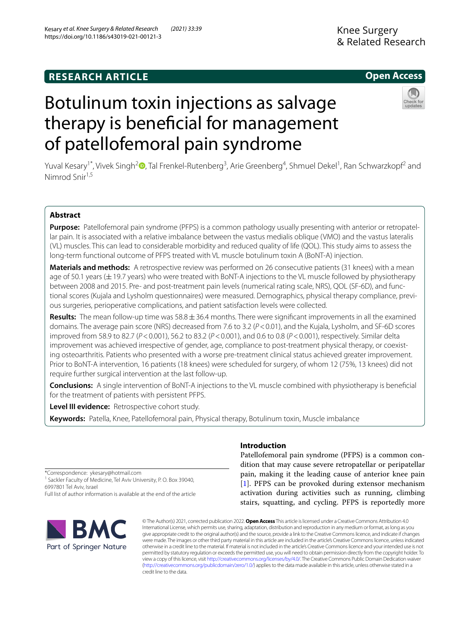# https://doi.org/10.1186/s43019-021-00121-3

Kesary *et al. Knee Surgery & Related Research (2021) 33:39* 

## **Open Access**



## Botulinum toxin injections as salvage therapy is benefcial for management of patellofemoral pain syndrome

Yuval Kesary<sup>1\*</sup>[,](http://orcid.org/0000-0003-2450-1785) Vivek Singh<sup>2</sup>®, Tal Frenkel-Rutenberg<sup>3</sup>, Arie Greenberg<sup>4</sup>, Shmuel Dekel<sup>1</sup>, Ran Schwarzkopf<sup>2</sup> and Nimrod Snir1,5

### **Abstract**

Purpose: Patellofemoral pain syndrome (PFPS) is a common pathology usually presenting with anterior or retropatellar pain. It is associated with a relative imbalance between the vastus medialis oblique (VMO) and the vastus lateralis (VL) muscles. This can lead to considerable morbidity and reduced quality of life (QOL). This study aims to assess the long-term functional outcome of PFPS treated with VL muscle botulinum toxin A (BoNT-A) injection.

**Materials and methods:** A retrospective review was performed on 26 consecutive patients (31 knees) with a mean age of 50.1 years ( $\pm$  19.7 years) who were treated with BoNT-A injections to the VL muscle followed by physiotherapy between 2008 and 2015. Pre- and post-treatment pain levels (numerical rating scale, NRS), QOL (SF-6D), and func‑ tional scores (Kujala and Lysholm questionnaires) were measured. Demographics, physical therapy compliance, previous surgeries, perioperative complications, and patient satisfaction levels were collected.

**Results:** The mean follow-up time was 58.8±36.4 months. There were signifcant improvements in all the examined domains. The average pain score (NRS) decreased from 7.6 to 3.2 (*P*<0.01), and the Kujala, Lysholm, and SF-6D scores improved from 58.9 to 82.7 (*P*<0.001), 56.2 to 83.2 (*P*<0.001), and 0.6 to 0.8 (*P*<0.001), respectively. Similar delta improvement was achieved irrespective of gender, age, compliance to post-treatment physical therapy, or coexisting osteoarthritis. Patients who presented with a worse pre-treatment clinical status achieved greater improvement. Prior to BoNT-A intervention, 16 patients (18 knees) were scheduled for surgery, of whom 12 (75%, 13 knees) did not require further surgical intervention at the last follow-up.

**Conclusions:** A single intervention of BoNT-A injections to the VL muscle combined with physiotherapy is benefcial for the treatment of patients with persistent PFPS.

**Level III evidence:** Retrospective cohort study.

**Keywords:** Patella, Knee, Patellofemoral pain, Physical therapy, Botulinum toxin, Muscle imbalance

\*Correspondence: ykesary@hotmail.com

<sup>1</sup> Sackler Faculty of Medicine, Tel Aviv University, P. O. Box 39040, 6997801 Tel Aviv, Israel

Full list of author information is available at the end of the article

## **Introduction**

Patellofemoral pain syndrome (PFPS) is a common condition that may cause severe retropatellar or peripatellar pain, making it the leading cause of anterior knee pain [[1\]](#page-6-0). PFPS can be provoked during extensor mechanism activation during activities such as running, climbing stairs, squatting, and cycling. PFPS is reportedly more



© The Author(s) 2021, corrected publication 2022. **Open Access** This article is licensed under a Creative Commons Attribution 4.0 International License, which permits use, sharing, adaptation, distribution and reproduction in any medium or format, as long as you give appropriate credit to the original author(s) and the source, provide a link to the Creative Commons licence, and indicate if changes were made. The images or other third party material in this article are included in the article's Creative Commons licence, unless indicated otherwise in a credit line to the material. If material is not included in the article's Creative Commons licence and your intended use is not permitted by statutory regulation or exceeds the permitted use, you will need to obtain permission directly from the copyright holder. To view a copy of this licence, visit [http://creativecommons.org/licenses/by/4.0/.](http://creativecommons.org/licenses/by/4.0/) The Creative Commons Public Domain Dedication waiver [\(http://creativecommons.org/publicdomain/zero/1.0/\)](http://creativecommons.org/publicdomain/zero/1.0/) applies to the data made available in this article, unless otherwise stated in a credit line to the data.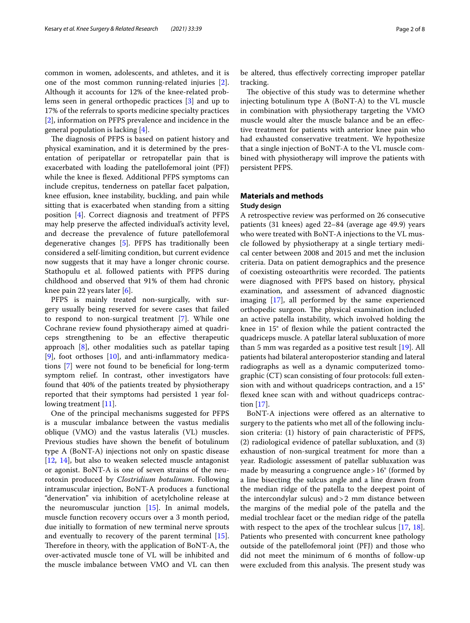common in women, adolescents, and athletes, and it is one of the most common running-related injuries [\[2](#page-6-1)]. Although it accounts for 12% of the knee-related problems seen in general orthopedic practices [[3\]](#page-6-2) and up to 17% of the referrals to sports medicine specialty practices [[2\]](#page-6-1), information on PFPS prevalence and incidence in the general population is lacking [\[4](#page-6-3)].

The diagnosis of PFPS is based on patient history and physical examination, and it is determined by the presentation of peripatellar or retropatellar pain that is exacerbated with loading the patellofemoral joint (PFJ) while the knee is flexed. Additional PFPS symptoms can include crepitus, tenderness on patellar facet palpation, knee efusion, knee instability, buckling, and pain while sitting that is exacerbated when standing from a sitting position [[4\]](#page-6-3). Correct diagnosis and treatment of PFPS may help preserve the afected individual's activity level, and decrease the prevalence of future patellofemoral degenerative changes [[5\]](#page-6-4). PFPS has traditionally been considered a self-limiting condition, but current evidence now suggests that it may have a longer chronic course. Stathopulu et al. followed patients with PFPS during childhood and observed that 91% of them had chronic knee pain 22 years later [[6\]](#page-6-5).

PFPS is mainly treated non-surgically, with surgery usually being reserved for severe cases that failed to respond to non-surgical treatment [\[7](#page-6-6)]. While one Cochrane review found physiotherapy aimed at quadriceps strengthening to be an efective therapeutic approach [[8\]](#page-6-7), other modalities such as patellar taping  $[9]$  $[9]$ , foot orthoses  $[10]$  $[10]$ , and anti-inflammatory medications [[7\]](#page-6-6) were not found to be benefcial for long-term symptom relief. In contrast, other investigators have found that 40% of the patients treated by physiotherapy reported that their symptoms had persisted 1 year following treatment [\[11](#page-6-10)].

One of the principal mechanisms suggested for PFPS is a muscular imbalance between the vastus medialis oblique (VMO) and the vastus lateralis (VL) muscles. Previous studies have shown the beneft of botulinum type A (BoNT-A) injections not only on spastic disease [[12,](#page-6-11) [14\]](#page-6-12), but also to weaken selected muscle antagonist or agonist. BoNT-A is one of seven strains of the neurotoxin produced by *Clostridium botulinum*. Following intramuscular injection, BoNT-A produces a functional "denervation" via inhibition of acetylcholine release at the neuromuscular junction [\[15\]](#page-6-13). In animal models, muscle function recovery occurs over a 3 month period, due initially to formation of new terminal nerve sprouts and eventually to recovery of the parent terminal [\[15](#page-6-13)]. Therefore in theory, with the application of BoNT-A, the over-activated muscle tone of VL will be inhibited and the muscle imbalance between VMO and VL can then be altered, thus efectively correcting improper patellar tracking.

The objective of this study was to determine whether injecting botulinum type A (BoNT-A) to the VL muscle in combination with physiotherapy targeting the VMO muscle would alter the muscle balance and be an efective treatment for patients with anterior knee pain who had exhausted conservative treatment. We hypothesize that a single injection of BoNT-A to the VL muscle combined with physiotherapy will improve the patients with persistent PFPS.

## **Materials and methods**

#### **Study design**

A retrospective review was performed on 26 consecutive patients (31 knees) aged 22–84 (average age 49.9) years who were treated with BoNT-A injections to the VL muscle followed by physiotherapy at a single tertiary medical center between 2008 and 2015 and met the inclusion criteria. Data on patient demographics and the presence of coexisting osteoarthritis were recorded. The patients were diagnosed with PFPS based on history, physical examination, and assessment of advanced diagnostic imaging [[17\]](#page-6-14), all performed by the same experienced orthopedic surgeon. The physical examination included an active patella instability, which involved holding the knee in 15° of fexion while the patient contracted the quadriceps muscle. A patellar lateral subluxation of more than 5 mm was regarded as a positive test result [[19](#page-6-15)]. All patients had bilateral anteroposterior standing and lateral radiographs as well as a dynamic computerized tomographic (CT) scan consisting of four protocols: full extension with and without quadriceps contraction, and a 15° fexed knee scan with and without quadriceps contraction [[17\]](#page-6-14).

BoNT-A injections were offered as an alternative to surgery to the patients who met all of the following inclusion criteria: (1) history of pain characteristic of PFPS, (2) radiological evidence of patellar subluxation, and (3) exhaustion of non-surgical treatment for more than a year. Radiologic assessment of patellar subluxation was made by measuring a congruence angle>16° (formed by a line bisecting the sulcus angle and a line drawn from the median ridge of the patella to the deepest point of the intercondylar sulcus) and>2 mm distance between the margins of the medial pole of the patella and the medial trochlear facet or the median ridge of the patella with respect to the apex of the trochlear sulcus [\[17](#page-6-14)[, 18](#page-6-16)]. Patients who presented with concurrent knee pathology outside of the patellofemoral joint (PFJ) and those who did not meet the minimum of 6 months of follow-up were excluded from this analysis. The present study was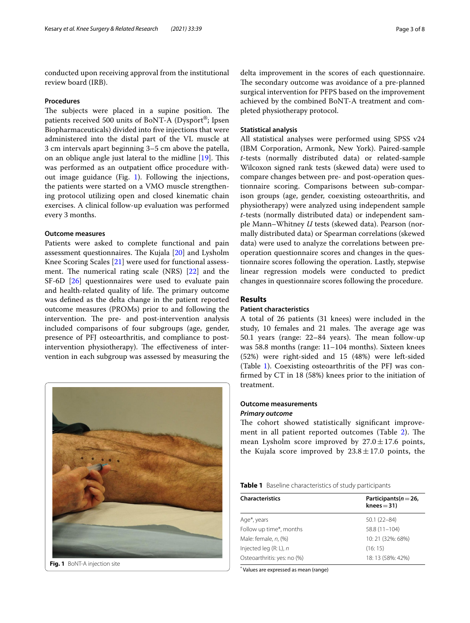conducted upon receiving approval from the institutional review board (IRB).

#### **Procedures**

The subjects were placed in a supine position. The patients received 500 units of BoNT-A (Dysport®; Ipsen Biopharmaceuticals) divided into fve injections that were administered into the distal part of the VL muscle at 3 cm intervals apart beginning 3–5 cm above the patella, on an oblique angle just lateral to the midline  $[19]$  $[19]$  $[19]$ . This was performed as an outpatient office procedure without image guidance (Fig. [1\)](#page-2-0). Following the injections, the patients were started on a VMO muscle strengthening protocol utilizing open and closed kinematic chain exercises. A clinical follow-up evaluation was performed every 3 months.

#### **Outcome measures**

Patients were asked to complete functional and pain assessment questionnaires. The Kujala  $[20]$  $[20]$  and Lysholm Knee Scoring Scales [[21\]](#page-6-18) were used for functional assessment. The numerical rating scale  $(NRS)$  [\[22](#page-6-19)] and the SF-6D [[26](#page-6-20)] questionnaires were used to evaluate pain and health-related quality of life. The primary outcome was defned as the delta change in the patient reported outcome measures (PROMs) prior to and following the intervention. The pre- and post-intervention analysis included comparisons of four subgroups (age, gender, presence of PFJ osteoarthritis, and compliance to postintervention physiotherapy). The effectiveness of intervention in each subgroup was assessed by measuring the

<span id="page-2-0"></span>

delta improvement in the scores of each questionnaire. The secondary outcome was avoidance of a pre-planned surgical intervention for PFPS based on the improvement achieved by the combined BoNT-A treatment and completed physiotherapy protocol.

#### **Statistical analysis**

All statistical analyses were performed using SPSS v24 (IBM Corporation, Armonk, New York). Paired-sample *t*-tests (normally distributed data) or related-sample Wilcoxon signed rank tests (skewed data) were used to compare changes between pre- and post-operation questionnaire scoring. Comparisons between sub-comparison groups (age, gender, coexisting osteoarthritis, and physiotherapy) were analyzed using independent sample *t*-tests (normally distributed data) or independent sample Mann–Whitney *U* tests (skewed data). Pearson (normally distributed data) or Spearman correlations (skewed data) were used to analyze the correlations between preoperation questionnaire scores and changes in the questionnaire scores following the operation. Lastly, stepwise linear regression models were conducted to predict changes in questionnaire scores following the procedure.

#### **Results**

#### **Patient characteristics**

A total of 26 patients (31 knees) were included in the study, 10 females and 21 males. The average age was 50.1 years (range: 22–84 years). The mean follow-up was 58.8 months (range: 11–104 months). Sixteen knees (52%) were right-sided and 15 (48%) were left-sided (Table [1\)](#page-2-1). Coexisting osteoarthritis of the PFJ was confrmed by CT in 18 (58%) knees prior to the initiation of treatment.

#### **Outcome measurements** *Primary outcome*

The cohort showed statistically significant improvement in all patient reported outcomes (Table  $2$ ). The mean Lysholm score improved by  $27.0 \pm 17.6$  points, the Kujala score improved by  $23.8 \pm 17.0$  points, the

<span id="page-2-1"></span>

| Table 1 Baseline characteristics of study participants |
|--------------------------------------------------------|
|--------------------------------------------------------|

| <b>Characteristics</b>      | Participants ( $n = 26$ ,<br>$knee = 31$ |
|-----------------------------|------------------------------------------|
| Age <sup>*</sup> , years    | $50.1(22 - 84)$                          |
| Follow up time*, months     | 58.8 (11-104)                            |
| Male: female, n, (%)        | 10: 21 (32%: 68%)                        |
| Injected leg $(R; L)$ , n   | (16:15)                                  |
| Osteoarthritis: yes: no (%) | 18: 13 (58%: 42%)                        |

\* Values are expressed as mean (range)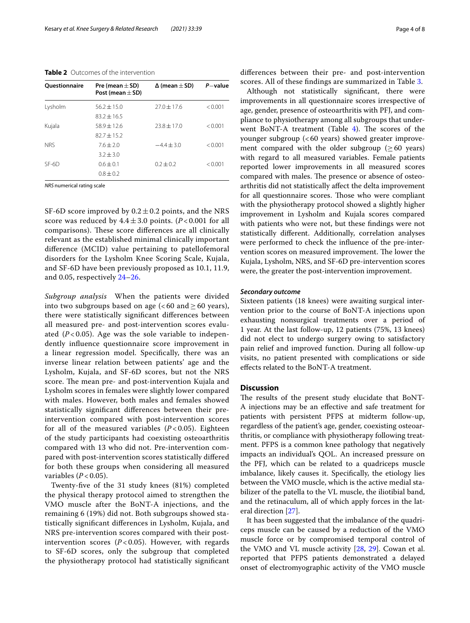#### <span id="page-3-0"></span>**Table 2** Outcomes of the intervention

| <b>Ouestionnaire</b> | Pre (mean $\pm$ SD)<br>Post (mean $\pm$ SD) | $\Delta$ (mean $\pm$ SD) | $P$ -value |
|----------------------|---------------------------------------------|--------------------------|------------|
| Lysholm              | $56.2 \pm 15.0$                             | $27.0 \pm 17.6$          | < 0.001    |
|                      | $83.2 + 16.5$                               |                          |            |
| Kujala               | $58.9 + 12.6$                               | $73.8 + 17.0$            | < 0.001    |
|                      | $82.7 + 15.2$                               |                          |            |
| <b>NRS</b>           | $76 + 20$                                   | $-4.4 + 3.0$             | < 0.001    |
|                      | $3.2 + 3.0$                                 |                          |            |
| $SF-6D$              | $0.6 + 0.1$                                 | $0.2 + 0.2$              | < 0.001    |
|                      | $0.8 + 0.2$                                 |                          |            |

*NRS* numerical rating scale

SF-6D score improved by  $0.2 \pm 0.2$  points, and the NRS score was reduced by  $4.4 \pm 3.0$  points. ( $P < 0.001$  for all comparisons). These score differences are all clinically relevant as the established minimal clinically important diference (MCID) value pertaining to patellofemoral disorders for the Lysholm Knee Scoring Scale, Kujala, and SF-6D have been previously proposed as 10.1, 11.9, and 0.05, respectively [24–](#page-6-21)[26.](#page-6-20)

*Subgroup analysis* When the patients were divided into two subgroups based on age ( $< 60$  and  $\geq 60$  years), there were statistically signifcant diferences between all measured pre- and post-intervention scores evaluated  $(P<0.05)$ . Age was the sole variable to independently infuence questionnaire score improvement in a linear regression model. Specifcally, there was an inverse linear relation between patients' age and the Lysholm, Kujala, and SF-6D scores, but not the NRS score. The mean pre- and post-intervention Kujala and Lysholm scores in females were slightly lower compared with males. However, both males and females showed statistically signifcant diferences between their preintervention compared with post-intervention scores for all of the measured variables  $(P < 0.05)$ . Eighteen of the study participants had coexisting osteoarthritis compared with 13 who did not. Pre-intervention compared with post-intervention scores statistically difered for both these groups when considering all measured variables  $(P < 0.05)$ .

Twenty-fve of the 31 study knees (81%) completed the physical therapy protocol aimed to strengthen the VMO muscle after the BoNT-A injections, and the remaining 6 (19%) did not. Both subgroups showed statistically signifcant diferences in Lysholm, Kujala, and NRS pre-intervention scores compared with their postintervention scores  $(P<0.05)$ . However, with regards to SF-6D scores, only the subgroup that completed the physiotherapy protocol had statistically signifcant diferences between their pre- and post-intervention scores. All of these fndings are summarized in Table [3.](#page-4-0)

Although not statistically signifcant, there were improvements in all questionnaire scores irrespective of age, gender, presence of osteoarthritis with PFJ, and compliance to physiotherapy among all subgroups that underwent BoNT-A treatment (Table  $4$ ). The scores of the younger subgroup  $( $60$  years) showed greater improve$ ment compared with the older subgroup ( $\geq 60$  years) with regard to all measured variables. Female patients reported lower improvements in all measured scores compared with males. The presence or absence of osteoarthritis did not statistically afect the delta improvement for all questionnaire scores. Those who were compliant with the physiotherapy protocol showed a slightly higher improvement in Lysholm and Kujala scores compared with patients who were not, but these fndings were not statistically diferent. Additionally, correlation analyses were performed to check the infuence of the pre-intervention scores on measured improvement. The lower the Kujala, Lysholm, NRS, and SF-6D pre-intervention scores were, the greater the post-intervention improvement.

#### *Secondary outcome*

Sixteen patients (18 knees) were awaiting surgical intervention prior to the course of BoNT-A injections upon exhausting nonsurgical treatments over a period of 1 year. At the last follow-up, 12 patients (75%, 13 knees) did not elect to undergo surgery owing to satisfactory pain relief and improved function. During all follow-up visits, no patient presented with complications or side efects related to the BoNT-A treatment.

#### **Discussion**

The results of the present study elucidate that BoNT-A injections may be an efective and safe treatment for patients with persistent PFPS at midterm follow-up, regardless of the patient's age, gender, coexisting osteoarthritis, or compliance with physiotherapy following treatment. PFPS is a common knee pathology that negatively impacts an individual's QOL. An increased pressure on the PFJ, which can be related to a quadriceps muscle imbalance, likely causes it. Specifcally, the etiology lies between the VMO muscle, which is the active medial stabilizer of the patella to the VL muscle, the iliotibial band, and the retinaculum, all of which apply forces in the lateral direction [[27\]](#page-6-22).

It has been suggested that the imbalance of the quadriceps muscle can be caused by a reduction of the VMO muscle force or by compromised temporal control of the VMO and VL muscle activity [[28](#page-6-23), [29\]](#page-6-24). Cowan et al. reported that PFPS patients demonstrated a delayed onset of electromyographic activity of the VMO muscle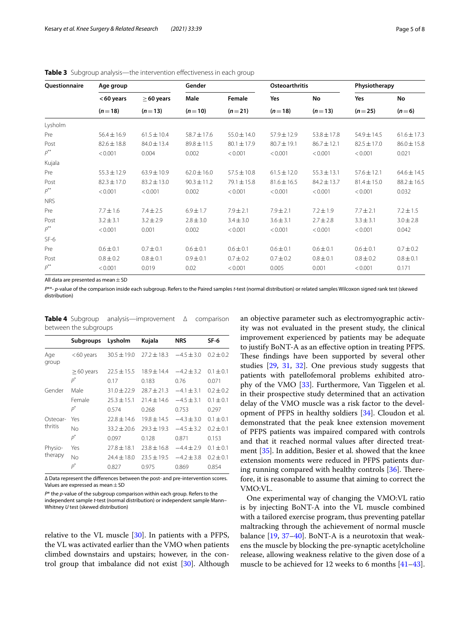| <b>Ouestionnaire</b> | Age group       |                             | Gender           |                    | <b>Osteoarthritis</b> |                 | Physiotherapy   |                 |
|----------------------|-----------------|-----------------------------|------------------|--------------------|-----------------------|-----------------|-----------------|-----------------|
|                      | <60 years       | $\geq$ 60 years<br>$(n=13)$ | Male<br>$(n=10)$ | Female<br>$(n=21)$ | Yes<br>$(n=18)$       | No<br>$(n=13)$  | Yes<br>$(n=25)$ | No<br>$(n=6)$   |
|                      | $(n=18)$        |                             |                  |                    |                       |                 |                 |                 |
| Lysholm              |                 |                             |                  |                    |                       |                 |                 |                 |
| Pre                  | $56.4 \pm 16.9$ | $61.5 \pm 10.4$             | $58.7 \pm 17.6$  | $55.0 \pm 14.0$    | $57.9 \pm 12.9$       | $53.8 \pm 17.8$ | $54.9 \pm 14.5$ | $61.6 \pm 17.3$ |
| Post                 | $82.6 \pm 18.8$ | $84.0 \pm 13.4$             | $89.8 \pm 11.5$  | $80.1 \pm 17.9$    | $80.7 \pm 19.1$       | $86.7 \pm 12.1$ | $82.5 \pm 17.0$ | $86.0 \pm 15.8$ |
| $\rho^{**}$          | < 0.001         | 0.004                       | 0.002            | < 0.001            | < 0.001               | < 0.001         | < 0.001         | 0.021           |
| Kujala               |                 |                             |                  |                    |                       |                 |                 |                 |
| Pre                  | $55.3 \pm 12.9$ | $63.9 \pm 10.9$             | $62.0 \pm 16.0$  | $57.5 \pm 10.8$    | $61.5 \pm 12.0$       | $55.3 \pm 13.1$ | $57.6 \pm 12.1$ | $64.6 \pm 14.5$ |
| Post                 | $82.3 \pm 17.0$ | $83.2 \pm 13.0$             | $90.3 \pm 11.2$  | $79.1 \pm 15.8$    | $81.6 \pm 16.5$       | $84.2 \pm 13.7$ | $81.4 \pm 15.0$ | $88.2 \pm 16.5$ |
| $p^{**}$             | < 0.001         | < 0.001                     | 0.002            | < 0.001            | < 0.001               | < 0.001         | < 0.001         | 0.032           |
| <b>NRS</b>           |                 |                             |                  |                    |                       |                 |                 |                 |
| Pre                  | $7.7 \pm 1.6$   | $7.4 \pm 2.5$               | $6.9 \pm 1.7$    | $7.9 \pm 2.1$      | $7.9 \pm 2.1$         | $7.2 \pm 1.9$   | $7.7 \pm 2.1$   | $7.2 \pm 1.5$   |
| Post                 | $3.2 \pm 3.1$   | $3.2 \pm 2.9$               | $2.8 \pm 3.0$    | $3.4 \pm 3.0$      | $3.6 \pm 3.1$         | $2.7 \pm 2.8$   | $3.3 \pm 3.1$   | $3.0 \pm 2.8$   |
| $\rho^{**}$          | < 0.001         | 0.001                       | 0.002            | < 0.001            | < 0.001               | < 0.001         | < 0.001         | 0.042           |
| $SF-6$               |                 |                             |                  |                    |                       |                 |                 |                 |
| Pre                  | $0.6 \pm 0.1$   | $0.7 \pm 0.1$               | $0.6 \pm 0.1$    | $0.6 \pm 0.1$      | $0.6 \pm 0.1$         | $0.6 \pm 0.1$   | $0.6 \pm 0.1$   | $0.7 \pm 0.2$   |
| Post                 | $0.8 \pm 0.2$   | $0.8 \pm 0.1$               | $0.9 \pm 0.1$    | $0.7 \pm 0.2$      | $0.7 \pm 0.2$         | $0.8 \pm 0.1$   | $0.8 \pm 0.2$   | $0.8 \pm 0.1$   |
| $p^{**}$             | < 0.001         | 0.019                       | 0.02             | < 0.001            | 0.005                 | 0.001           | < 0.001         | 0.171           |

<span id="page-4-0"></span>**Table 3** Subgroup analysis—the intervention effectiveness in each group

All data are presented as mean $\pm$ SD

*P*\*\*- *p*-value of the comparison inside each subgroup. Refers to the Paired samples *t*-test (normal distribution) or related samples Wilcoxon signed rank test (skewed distribution)

<span id="page-4-1"></span>

|                       | <b>Table 4</b> Subgroup analysis—improvement $\Delta$ comparison |  |  |  |  |
|-----------------------|------------------------------------------------------------------|--|--|--|--|
| between the subgroups |                                                                  |  |  |  |  |

|                    | <b>Subgroups</b> | Lysholm                                                                                                                                                                                                    | Kujala          | <b>NRS</b>     | SF-6          |
|--------------------|------------------|------------------------------------------------------------------------------------------------------------------------------------------------------------------------------------------------------------|-----------------|----------------|---------------|
| Age<br>group       | $< 60$ years     | $30.5 \pm 19.0$                                                                                                                                                                                            | $27.2 \pm 18.3$ | $-4.5 \pm 3.0$ | $0.2 \pm 0.2$ |
|                    | $\geq$ 60 years  | $22.5 + 15.5$                                                                                                                                                                                              | $18.9 + 14.4$   | $-4.2 + 3.2$   | $0.1 \pm 0.1$ |
|                    | p*               | 0.17                                                                                                                                                                                                       | 0.183           | 0.76           | 0.071         |
| Gender             | Male             | $31.0 \pm 22.9$                                                                                                                                                                                            | $78.7 + 71.3$   | $-4.1 \pm 3.1$ | $0.2 \pm 0.2$ |
|                    | Female           | $25.3 + 15.1$                                                                                                                                                                                              | $71.4 + 14.6$   | $-4.5 + 3.1$   | $0.1 + 0.1$   |
|                    | p*               | 0.574                                                                                                                                                                                                      | 0.268           | 0.753          | 0.297         |
| Osteoar-           | Yes              | $72.8 + 14.6$                                                                                                                                                                                              | $19.8 + 14.5$   | $-4.3 + 3.0$   | $0.1 + 0.1$   |
| thritis            | Nο               | $33.2 + 20.6$<br>$79.3 + 19.3$<br>$-4.5 + 3.2$<br>0.097<br>0.128<br>0.871<br>$77.8 + 18.1$<br>$73.8 + 16.8$<br>$-4.4 + 2.9$<br>$24.4 \pm 18.0$<br>$73.5 + 19.5$<br>$-4.2 + 3.8$<br>0.827<br>0.975<br>0.869 | $0.2 + 0.1$     |                |               |
|                    | $p^*$            |                                                                                                                                                                                                            |                 |                | 0.153         |
| Physio-<br>therapy | Yes              |                                                                                                                                                                                                            |                 |                | $0.1 + 0.1$   |
|                    | Nο               |                                                                                                                                                                                                            |                 |                | $0.2 + 0.1$   |
|                    | p*               |                                                                                                                                                                                                            |                 |                | 0.854         |

∆ Data represent the diferences between the post- and pre-intervention scores. Values are expressed as mean + SD

*P*\* the *p*-value of the subgroup comparison within each group. Refers to the independent sample *t*-test (normal distribution) or independent sample Mann– Whitney *U* test (skewed distribution)

relative to the VL muscle [[30\]](#page-7-0). In patients with a PFPS, the VL was activated earlier than the VMO when patients climbed downstairs and upstairs; however, in the control group that imbalance did not exist [\[30](#page-7-0)]. Although an objective parameter such as electromyographic activity was not evaluated in the present study, the clinical improvement experienced by patients may be adequate to justify BoNT-A as an efective option in treating PFPS. These findings have been supported by several other studies [\[29](#page-6-24)[, 31,](#page-7-1) [32\]](#page-7-2). One previous study suggests that patients with patellofemoral problems exhibited atrophy of the VMO [\[33](#page-7-3)]. Furthermore, Van Tiggelen et al. in their prospective study determined that an activation delay of the VMO muscle was a risk factor to the development of PFPS in healthy soldiers [[34\]](#page-7-4). Cloudon et al. demonstrated that the peak knee extension movement of PFPS patients was impaired compared with controls and that it reached normal values after directed treatment [[35\]](#page-7-5). In addition, Besier et al. showed that the knee extension moments were reduced in PFPS patients during running compared with healthy controls  $[36]$  $[36]$ . Therefore, it is reasonable to assume that aiming to correct the VMO:VL.

One experimental way of changing the VMO:VL ratio is by injecting BoNT-A into the VL muscle combined with a tailored exercise program, thus preventing patellar maltracking through the achievement of normal muscle balance [[19,](#page-6-15) [37–](#page-7-7)[40\]](#page-7-8). BoNT-A is a neurotoxin that weakens the muscle by blocking the pre-synaptic acetylcholine release, allowing weakness relative to the given dose of a muscle to be achieved for 12 weeks to 6 months [[41](#page-7-9)[–43](#page-7-10)].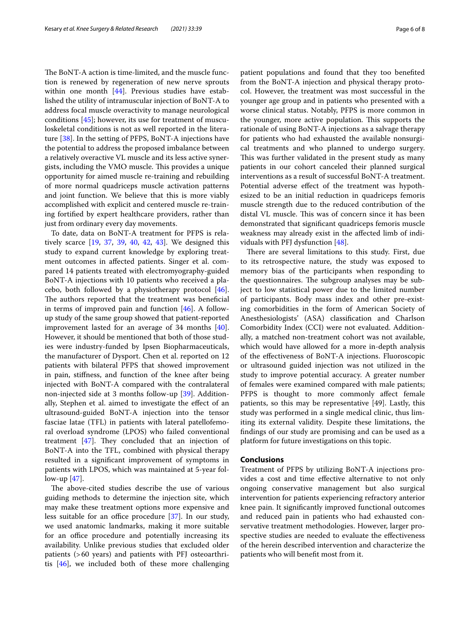The BoNT-A action is time-limited, and the muscle function is renewed by regeneration of new nerve sprouts within one month [\[44](#page-7-11)]. Previous studies have established the utility of intramuscular injection of BoNT-A to address focal muscle overactivity to manage neurological conditions [[45\]](#page-7-12); however, its use for treatment of musculoskeletal conditions is not as well reported in the literature [\[38\]](#page-7-13). In the setting of PFPS, BoNT-A injections have the potential to address the proposed imbalance between a relatively overactive VL muscle and its less active synergists, including the VMO muscle. This provides a unique opportunity for aimed muscle re-training and rebuilding of more normal quadriceps muscle activation patterns and joint function. We believe that this is more viably accomplished with explicit and centered muscle re-training fortifed by expert healthcare providers, rather than just from ordinary every day movements.

To date, data on BoNT-A treatment for PFPS is relatively scarce [[19](#page-6-15), [37,](#page-7-7) [39](#page-7-14)[, 40](#page-7-8), [42,](#page-7-15) [43](#page-7-10)]. We designed this study to expand current knowledge by exploring treatment outcomes in afected patients. Singer et al. compared 14 patients treated with electromyography-guided BoNT-A injections with 10 patients who received a placebo, both followed by a physiotherapy protocol  $[46]$  $[46]$ . The authors reported that the treatment was beneficial in terms of improved pain and function  $[46]$ . A followup study of the same group showed that patient-reported improvement lasted for an average of 34 months [\[40](#page-7-8)]. However, it should be mentioned that both of those studies were industry-funded by Ipsen Biopharmaceuticals, the manufacturer of Dysport. Chen et al. reported on 12 patients with bilateral PFPS that showed improvement in pain, stifness, and function of the knee after being injected with BoNT-A compared with the contralateral non-injected side at 3 months follow-up [[39\]](#page-7-14). Additionally, Stephen et al. aimed to investigate the effect of an ultrasound-guided BoNT-A injection into the tensor fasciae latae (TFL) in patients with lateral patellofemoral overload syndrome (LPOS) who failed conventional treatment  $[47]$  $[47]$ . They concluded that an injection of BoNT-A into the TFL, combined with physical therapy resulted in a signifcant improvement of symptoms in patients with LPOS, which was maintained at 5-year follow-up [\[47](#page-7-17)].

The above-cited studies describe the use of various guiding methods to determine the injection site, which may make these treatment options more expensive and less suitable for an office procedure  $[37]$  $[37]$ . In our study, we used anatomic landmarks, making it more suitable for an office procedure and potentially increasing its availability. Unlike previous studies that excluded older patients (>60 years) and patients with PFJ osteoarthritis [[46\]](#page-7-16), we included both of these more challenging patient populations and found that they too benefted from the BoNT-A injection and physical therapy protocol. However, the treatment was most successful in the younger age group and in patients who presented with a worse clinical status. Notably, PFPS is more common in the younger, more active population. This supports the rationale of using BoNT-A injections as a salvage therapy for patients who had exhausted the available nonsurgical treatments and who planned to undergo surgery. This was further validated in the present study as many patients in our cohort canceled their planned surgical interventions as a result of successful BoNT-A treatment. Potential adverse effect of the treatment was hypothesized to be an initial reduction in quadriceps femoris muscle strength due to the reduced contribution of the distal VL muscle. This was of concern since it has been demonstrated that signifcant quadriceps femoris muscle weakness may already exist in the afected limb of individuals with PFJ dysfunction [[48\]](#page-7-18).

There are several limitations to this study. First, due to its retrospective nature, the study was exposed to memory bias of the participants when responding to the questionnaires. The subgroup analyses may be subject to low statistical power due to the limited number of participants. Body mass index and other pre-existing comorbidities in the form of American Society of Anesthesiologists' (ASA) classifcation and Charlson Comorbidity Index (CCI) were not evaluated. Additionally, a matched non-treatment cohort was not available, which would have allowed for a more in-depth analysis of the efectiveness of BoNT-A injections. Fluoroscopic or ultrasound guided injection was not utilized in the study to improve potential accuracy. A greater number of females were examined compared with male patients; PFPS is thought to more commonly afect female patients, so this may be representative [49]. Lastly, this study was performed in a single medical clinic, thus limiting its external validity. Despite these limitations, the fndings of our study are promising and can be used as a platform for future investigations on this topic.

#### **Conclusions**

Treatment of PFPS by utilizing BoNT-A injections provides a cost and time efective alternative to not only ongoing conservative management but also surgical intervention for patients experiencing refractory anterior knee pain. It signifcantly improved functional outcomes and reduced pain in patients who had exhausted conservative treatment methodologies. However, larger prospective studies are needed to evaluate the effectiveness of the herein described intervention and characterize the patients who will beneft most from it.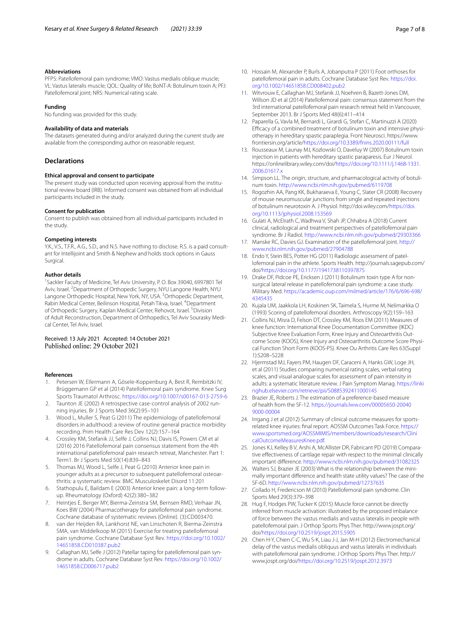#### **Abbreviations**

PFPS: Patellofemoral pain syndrome; VMO: Vastus medialis oblique muscle; VL: Vastus lateralis muscle; QOL: Quality of life; BoNT-A: Botulinum toxin A; PFJ: Patellofemoral joint; NRS: Numerical rating scale.

#### **Funding**

No funding was provided for this study.

#### **Availability of data and materials**

The datasets generated during and/or analyzed during the current study are available from the corresponding author on reasonable request.

#### **Declarations**

#### **Ethical approval and consent to participate**

The present study was conducted upon receiving approval from the institutional review board (IRB). Informed consent was obtained from all individual participants included in the study.

#### **Consent for publication**

Consent to publish was obtained from all individual participants included in the study.

#### **Competing interests**

Y.K., V.S., T.F.R., A.G., S.D., and N.S. have nothing to disclose. R.S. is a paid consultant for Intellijoint and Smith & Nephew and holds stock options in Gauss Surgical.

#### **Author details**

<sup>1</sup> Sackler Faculty of Medicine, Tel Aviv University, P. O. Box 39040, 6997801 Tel Aviv, Israel. <sup>2</sup> Department of Orthopedic Surgery, NYU Langone Health, NYU Langone Orthopedic Hospital, New York, NY, USA.<sup>3</sup> Orthopedic Department, Rabin Medical Center, Beilinson Hospital, Petah Tikva, Israel. <sup>4</sup>Department of Orthopedic Surgery, Kaplan Medical Center, Rehovot, Israel. <sup>5</sup> Division of Adult Reconstruction, Department of Orthopedics, Tel Aviv Sourasky Medical Center, Tel Aviv, Israel.

Received: 13 July 2021 Accepted: 14 October 2021 Published online: 29 October 2021

#### **References**

- <span id="page-6-0"></span>1. Petersen W, Ellermann A, Gösele-Koppenburg A, Best R, Rembitzki IV, Brüggemann GP et al (2014) Patellofemoral pain syndrome. Knee Surg Sports Traumatol Arthrosc. <https://doi.org/10.1007/s00167-013-2759-6>
- <span id="page-6-1"></span>2. Taunton JE (2002) A retrospective case-control analysis of 2002 running injuries. Br J Sports Med 36(2):95–101
- <span id="page-6-2"></span>3. Wood L, Muller S, Peat G (2011) The epidemiology of patellofemoral disorders in adulthood: a review of routine general practice morbidity recording. Prim Health Care Res Dev 12(2):157–164
- <span id="page-6-3"></span>4. Crossley KM, Stefanik JJ, Selfe J, Collins NJ, Davis IS, Powers CM et al (2016) 2016 Patellofemoral pain consensus statement from the 4th international patellofemoral pain research retreat, Manchester. Part 1: Term1. Br J Sports Med 50(14):839–843
- <span id="page-6-4"></span>5. Thomas MJ, Wood L, Selfe J, Peat G (2010) Anterior knee pain in younger adults as a precursor to subsequent patellofemoral osteoarthritis: a systematic review. BMC Musculoskelet Disord 11:201
- <span id="page-6-5"></span>6. Stathopulu E, Baildam E (2003) Anterior knee pain: a long-term followup. Rheumatology (Oxford) 42(2):380–382
- <span id="page-6-6"></span>7. Heintjes E, Berger MY, Bierma-Zeinstra SM, Bernsen RMD, Verhaar JN, Koes BW (2004) Pharmacotherapy for patellofemoral pain syndrome. Cochrane database of systematic reviews (Online). (3):CD003470.
- <span id="page-6-7"></span>8. van der Heijden RA, Lankhorst NE, van Linschoten R, Bierma-Zeinstra SMA, van Middelkoop M (2015) Exercise for treating patellofemoral pain syndrome. Cochrane Database Syst Rev. [https://doi.org/10.1002/](https://doi.org/10.1002/14651858.CD010387.pub2) [14651858.CD010387.pub2](https://doi.org/10.1002/14651858.CD010387.pub2)
- <span id="page-6-8"></span>9. Callaghan MJ, Selfe J (2012) Patellar taping for patellofemoral pain syndrome in adults. Cochrane Database Syst Rev. [https://doi.org/10.1002/](https://doi.org/10.1002/14651858.CD006717.pub2) [14651858.CD006717.pub2](https://doi.org/10.1002/14651858.CD006717.pub2)
- <span id="page-6-9"></span>10. Hossain M, Alexander P, Burls A, Jobanputra P (2011) Foot orthoses for patellofemoral pain in adults. Cochrane Database Syst Rev. [https://doi.](https://doi.org/10.1002/14651858.CD008402.pub2) [org/10.1002/14651858.CD008402.pub2](https://doi.org/10.1002/14651858.CD008402.pub2)
- <span id="page-6-10"></span>11. Witvrouw E, Callaghan MJ, Stefanik JJ, Noehren B, Bazett-Jones DM, Willson JD et al (2014) Patellofemoral pain: consensus statement from the 3rd international patellofemoral pain research retreat held in Vancouver, September 2013. Br J Sports Med 48(6):411–414
- <span id="page-6-11"></span>12. Paparella G, Vavla M, Bernardi L, Girardi G, Stefan C, Martinuzzi A (2020) Efficacy of a combined treatment of botulinum toxin and intensive physiotherapy in hereditary spastic paraplegia. Front Neurosci. https://www. frontiersin.org/article[/https://doi.org/10.3389/fnins.2020.00111/full](https://doi.org/10.3389/fnins.2020.00111/full)
- 13. Rousseaux M, Launay MJ, Kozlowski O, Daveluy W (2007) Botulinum toxin injection in patients with hereditary spastic paraparesis. Eur J Neurol. https://onlinelibrary.wiley.com/doi[/https://doi.org/10.1111/j.1468-1331.](https://doi.org/10.1111/j.1468-1331.2006.01617.x) [2006.01617.x](https://doi.org/10.1111/j.1468-1331.2006.01617.x)
- <span id="page-6-12"></span>14. Simpson LL. The origin, structure, and pharmacological activity of botulinum toxin.<http://www.ncbi.nlm.nih.gov/pubmed/6119708>
- <span id="page-6-13"></span>15. Rogozhin AA, Pang KK, Bukharaeva E, Young C, Slater CR (2008) Recovery of mouse neuromuscular junctions from single and repeated injections of botulinum neurotoxin A. J Physiol. http://doi.wiley.com[/https://doi.](https://doi.org/10.1113/jphysiol.2008.153569) [org/10.1113/jphysiol.2008.153569](https://doi.org/10.1113/jphysiol.2008.153569)
- 16. Gulati A, McElrath C, Wadhwa V, Shah JP, Chhabra A (2018) Current clinical, radiological and treatment perspectives of patellofemoral pain syndrome. Br J Radiol. <http://www.ncbi.nlm.nih.gov/pubmed/29303366>
- <span id="page-6-14"></span>17. Manske RC, Davies GJ. Examination of the patellofemoral joint. [http://](http://www.ncbi.nlm.nih.gov/pubmed/27904788) [www.ncbi.nlm.nih.gov/pubmed/27904788](http://www.ncbi.nlm.nih.gov/pubmed/27904788)
- <span id="page-6-16"></span>18. Endo Y, Stein BES, Potter HG (2011) Radiologic assessment of patellofemoral pain in the athlete. Sports Health. http://journals.sagepub.com/ doi/<https://doi.org/10.1177/1941738110397875>
- <span id="page-6-15"></span>19. Drake DF, Pidcoe PE, Ericksen J (2011) Botulinum toxin type A for nonsurgical lateral release in patellofemoral pain syndrome: a case study. Military Med. [https://academic.oup.com/milmed/article/176/6/696-698/](https://academic.oup.com/milmed/article/176/6/696-698/4345435) [4345435](https://academic.oup.com/milmed/article/176/6/696-698/4345435)
- <span id="page-6-17"></span>20. Kujala UM, Jaakkola LH, Koskinen SK, Taimela S, Hurme M, Nelimarkka O (1993) Scoring of patellofemoral disorders. Arthroscopy 9(2):159–163
- <span id="page-6-18"></span>21. Collins NJ, Misra D, Felson DT, Crossley KM, Roos EM (2011) Measures of knee function: International Knee Documentation Committee (IKDC) Subjective Knee Evaluation Form, Knee Injury and Osteoarthritis Outcome Score (KOOS), Knee Injury and Osteoarthritis Outcome Score Physical Function Short Form (KOOS-PS). Knee Ou Arthritis Care Res 63(Suppl 1):S208–S228
- <span id="page-6-19"></span>22. Hjermstad MJ, Fayers PM, Haugen DF, Caraceni A, Hanks GW, Loge JH, et al (2011) Studies comparing numerical rating scales, verbal rating scales, and visual analogue scales for assessment of pain intensity in adults: a systematic literature review. J Pain Symptom Manag. [https://linki](https://linkinghub.elsevier.com/retrieve/pii/S0885392411000145) [nghub.elsevier.com/retrieve/pii/S0885392411000145](https://linkinghub.elsevier.com/retrieve/pii/S0885392411000145)
- 23. Brazier JE, Roberts J. The estimation of a preference-based measure of health from the SF-12. [https://journals.lww.com/00005650-20040](https://journals.lww.com/00005650-200409000-00004) [9000-00004](https://journals.lww.com/00005650-200409000-00004)
- <span id="page-6-21"></span>24. Irrgang J et al (2012) Summary of clinical outcome measures for sportsrelated knee injuries: fnal report. AOSSM Outcomes Task Force. [https://](https://www.sportsmed.org/AOSSMIMIS/members/downloads/research/ClinicalOutcomeMeasuresKnee.pdf) [www.sportsmed.org/AOSSMIMIS/members/downloads/research/Clini](https://www.sportsmed.org/AOSSMIMIS/members/downloads/research/ClinicalOutcomeMeasuresKnee.pdf) [calOutcomeMeasuresKnee.pdf](https://www.sportsmed.org/AOSSMIMIS/members/downloads/research/ClinicalOutcomeMeasuresKnee.pdf).
- 25. Jones KJ, Kelley B V, Arshi A, McAllister DR, Fabricant PD (2019) Comparative efectiveness of cartilage repair with respect to the minimal clinically important diference. <http://www.ncbi.nlm.nih.gov/pubmed/31082325>
- <span id="page-6-20"></span>26. Walters SJ, Brazier JE (2003) What is the relationship between the minimally important diference and health state utility values? The case of the SF-6D.<http://www.ncbi.nlm.nih.gov/pubmed/12737635>
- <span id="page-6-22"></span>27. Collado H, Fredericson M (2010) Patellofemoral pain syndrome. Clin Sports Med 29(3):379–398
- <span id="page-6-23"></span>28. Hug F, Hodges PW, Tucker K (2015) Muscle force cannot be directly inferred from muscle activation: illustrated by the proposed imbalance of force between the vastus medialis and vastus lateralis in people with patellofemoral pain. J Orthop Sports Phys Ther. http://www.jospt.org/ doi/<https://doi.org/10.2519/jospt.2015.5905>
- <span id="page-6-24"></span>29. Chen H-Y, Chien C-C, Wu S-K, Liau J-J, Jan M-H (2012) Electromechanical delay of the vastus medialis obliquus and vastus lateralis in individuals with patellofemoral pain syndrome. J Orthop Sports Phys Ther. http:// www.jospt.org/doi[/https://doi.org/10.2519/jospt.2012.3973](https://doi.org/10.2519/jospt.2012.3973)